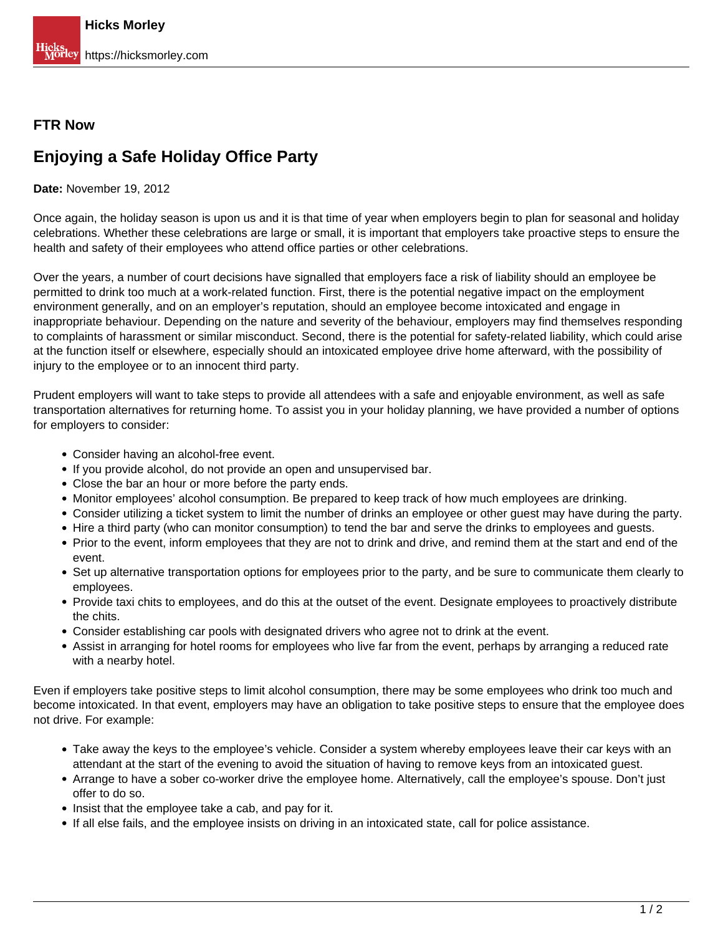## **FTR Now**

## **Enjoying a Safe Holiday Office Party**

**Date:** November 19, 2012

Once again, the holiday season is upon us and it is that time of year when employers begin to plan for seasonal and holiday celebrations. Whether these celebrations are large or small, it is important that employers take proactive steps to ensure the health and safety of their employees who attend office parties or other celebrations.

Over the years, a number of court decisions have signalled that employers face a risk of liability should an employee be permitted to drink too much at a work-related function. First, there is the potential negative impact on the employment environment generally, and on an employer's reputation, should an employee become intoxicated and engage in inappropriate behaviour. Depending on the nature and severity of the behaviour, employers may find themselves responding to complaints of harassment or similar misconduct. Second, there is the potential for safety-related liability, which could arise at the function itself or elsewhere, especially should an intoxicated employee drive home afterward, with the possibility of injury to the employee or to an innocent third party.

Prudent employers will want to take steps to provide all attendees with a safe and enjoyable environment, as well as safe transportation alternatives for returning home. To assist you in your holiday planning, we have provided a number of options for employers to consider:

- Consider having an alcohol-free event.
- If you provide alcohol, do not provide an open and unsupervised bar.
- Close the bar an hour or more before the party ends.
- Monitor employees' alcohol consumption. Be prepared to keep track of how much employees are drinking.
- Consider utilizing a ticket system to limit the number of drinks an employee or other guest may have during the party.
- Hire a third party (who can monitor consumption) to tend the bar and serve the drinks to employees and guests.
- Prior to the event, inform employees that they are not to drink and drive, and remind them at the start and end of the event.
- Set up alternative transportation options for employees prior to the party, and be sure to communicate them clearly to employees.
- Provide taxi chits to employees, and do this at the outset of the event. Designate employees to proactively distribute the chits.
- Consider establishing car pools with designated drivers who agree not to drink at the event.
- Assist in arranging for hotel rooms for employees who live far from the event, perhaps by arranging a reduced rate with a nearby hotel.

Even if employers take positive steps to limit alcohol consumption, there may be some employees who drink too much and become intoxicated. In that event, employers may have an obligation to take positive steps to ensure that the employee does not drive. For example:

- Take away the keys to the employee's vehicle. Consider a system whereby employees leave their car keys with an attendant at the start of the evening to avoid the situation of having to remove keys from an intoxicated guest.
- Arrange to have a sober co-worker drive the employee home. Alternatively, call the employee's spouse. Don't just offer to do so.
- Insist that the employee take a cab, and pay for it.
- If all else fails, and the employee insists on driving in an intoxicated state, call for police assistance.